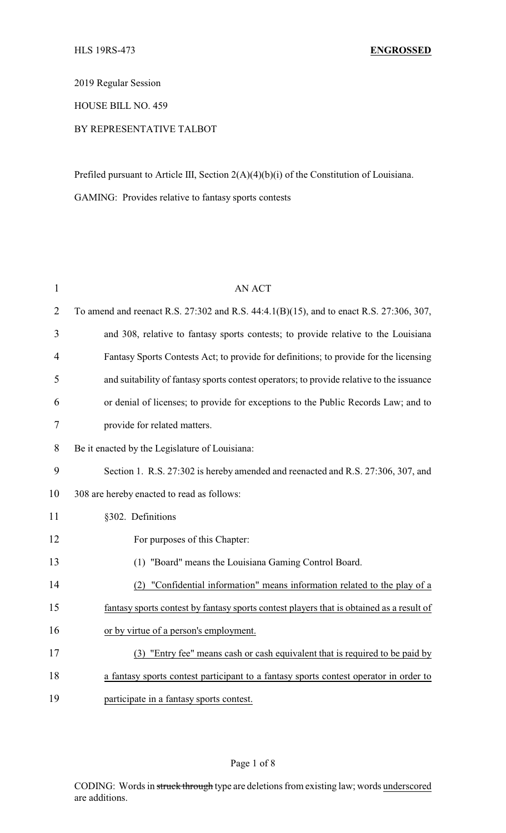2019 Regular Session

HOUSE BILL NO. 459

## BY REPRESENTATIVE TALBOT

Prefiled pursuant to Article III, Section 2(A)(4)(b)(i) of the Constitution of Louisiana.

GAMING: Provides relative to fantasy sports contests

| $\mathbf{1}$   | <b>AN ACT</b>                                                                            |  |  |
|----------------|------------------------------------------------------------------------------------------|--|--|
| $\overline{2}$ | To amend and reenact R.S. 27:302 and R.S. 44:4.1(B)(15), and to enact R.S. 27:306, 307,  |  |  |
| 3              | and 308, relative to fantasy sports contests; to provide relative to the Louisiana       |  |  |
| $\overline{4}$ | Fantasy Sports Contests Act; to provide for definitions; to provide for the licensing    |  |  |
| 5              | and suitability of fantasy sports contest operators; to provide relative to the issuance |  |  |
| 6              | or denial of licenses; to provide for exceptions to the Public Records Law; and to       |  |  |
| 7              | provide for related matters.                                                             |  |  |
| 8              | Be it enacted by the Legislature of Louisiana:                                           |  |  |
| 9              | Section 1. R.S. 27:302 is hereby amended and reenacted and R.S. 27:306, 307, and         |  |  |
| 10             | 308 are hereby enacted to read as follows:                                               |  |  |
| 11             | §302. Definitions                                                                        |  |  |
| 12             | For purposes of this Chapter:                                                            |  |  |
| 13             | (1) "Board" means the Louisiana Gaming Control Board.                                    |  |  |
| 14             | (2) "Confidential information" means information related to the play of a                |  |  |
| 15             | fantasy sports contest by fantasy sports contest players that is obtained as a result of |  |  |
| 16             | or by virtue of a person's employment.                                                   |  |  |
| 17             | (3) "Entry fee" means cash or cash equivalent that is required to be paid by             |  |  |
| 18             | a fantasy sports contest participant to a fantasy sports contest operator in order to    |  |  |
| 19             | participate in a fantasy sports contest.                                                 |  |  |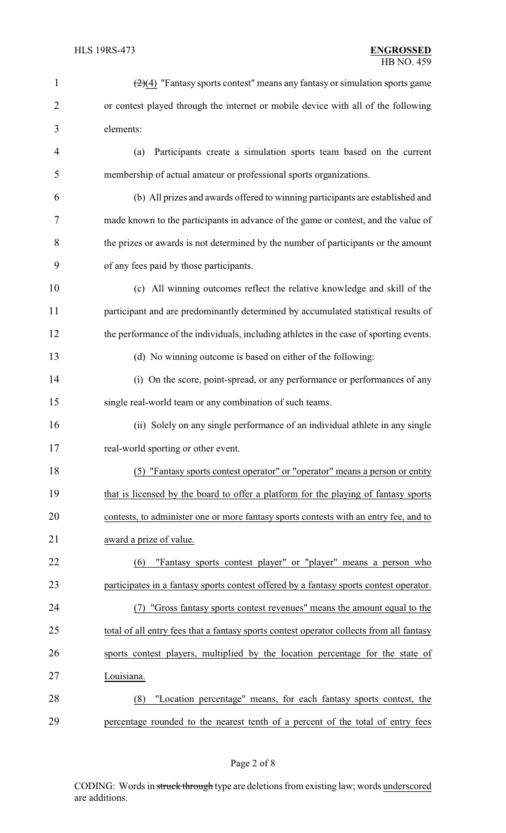| $\mathbf{1}$   | $\left(\frac{2}{4}\right)$ "Fantasy sports contest" means any fantasy or simulation sports game |  |  |
|----------------|-------------------------------------------------------------------------------------------------|--|--|
| $\overline{2}$ | or contest played through the internet or mobile device with all of the following               |  |  |
| 3              | elements:                                                                                       |  |  |
| $\overline{4}$ | Participants create a simulation sports team based on the current<br>(a)                        |  |  |
| 5              | membership of actual amateur or professional sports organizations.                              |  |  |
| 6              | (b) All prizes and awards offered to winning participants are established and                   |  |  |
| 7              | made known to the participants in advance of the game or contest, and the value of              |  |  |
| 8              | the prizes or awards is not determined by the number of participants or the amount              |  |  |
| 9              | of any fees paid by those participants.                                                         |  |  |
| 10             | (c) All winning outcomes reflect the relative knowledge and skill of the                        |  |  |
| 11             | participant and are predominantly determined by accumulated statistical results of              |  |  |
| 12             | the performance of the individuals, including athletes in the case of sporting events.          |  |  |
| 13             | (d) No winning outcome is based on either of the following:                                     |  |  |
| 14             | (i) On the score, point-spread, or any performance or performances of any                       |  |  |
| 15             | single real-world team or any combination of such teams.                                        |  |  |
| 16             | (ii) Solely on any single performance of an individual athlete in any single                    |  |  |
| 17             | real-world sporting or other event.                                                             |  |  |
| 18             | (5) "Fantasy sports contest operator" or "operator" means a person or entity                    |  |  |
| 19             | that is licensed by the board to offer a platform for the playing of fantasy sports             |  |  |
| 20             | contests, to administer one or more fantasy sports contests with an entry fee, and to           |  |  |
| 21             | award a prize of value.                                                                         |  |  |
| 22             | "Fantasy sports contest player" or "player" means a person who<br>(6)                           |  |  |
| 23             | participates in a fantasy sports contest offered by a fantasy sports contest operator.          |  |  |
| 24             | "Gross fantasy sports contest revenues" means the amount equal to the<br>(7)                    |  |  |
| 25             | total of all entry fees that a fantasy sports contest operator collects from all fantasy        |  |  |
| 26             | sports contest players, multiplied by the location percentage for the state of                  |  |  |
| 27             | Louisiana.                                                                                      |  |  |
| 28             | "Location percentage" means, for each fantasy sports contest, the<br>(8)                        |  |  |
| 29             | percentage rounded to the nearest tenth of a percent of the total of entry fees                 |  |  |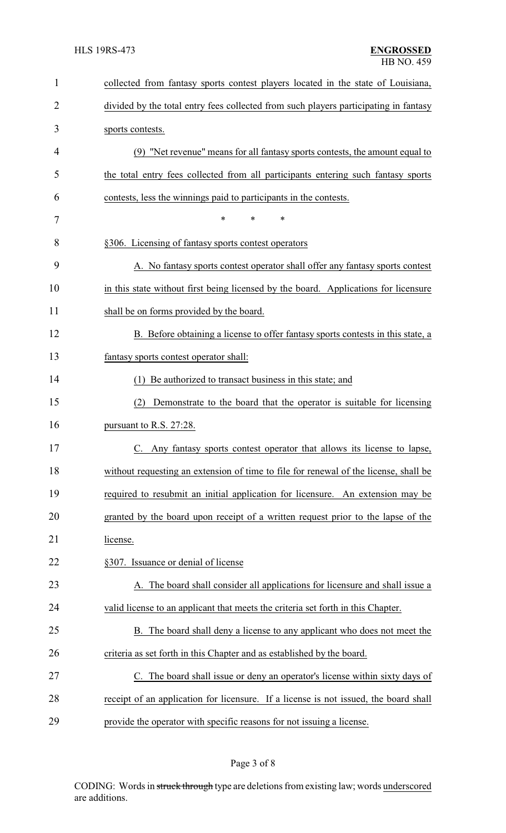| $\mathbf{1}$   | collected from fantasy sports contest players located in the state of Louisiana,     |
|----------------|--------------------------------------------------------------------------------------|
| $\overline{2}$ | divided by the total entry fees collected from such players participating in fantasy |
| 3              | sports contests.                                                                     |
| 4              | (9) "Net revenue" means for all fantasy sports contests, the amount equal to         |
| 5              | the total entry fees collected from all participants entering such fantasy sports    |
| 6              | contests, less the winnings paid to participants in the contests.                    |
| 7              | $\ast$<br>$\ast$<br>$\ast$                                                           |
| 8              | §306. Licensing of fantasy sports contest operators                                  |
| 9              | A. No fantasy sports contest operator shall offer any fantasy sports contest         |
| 10             | in this state without first being licensed by the board. Applications for licensure  |
| 11             | shall be on forms provided by the board.                                             |
| 12             | B. Before obtaining a license to offer fantasy sports contests in this state, a      |
| 13             | fantasy sports contest operator shall:                                               |
| 14             | (1) Be authorized to transact business in this state; and                            |
| 15             | Demonstrate to the board that the operator is suitable for licensing<br>(2)          |
| 16             | pursuant to R.S. 27:28.                                                              |
| 17             | C. Any fantasy sports contest operator that allows its license to lapse,             |
| 18             | without requesting an extension of time to file for renewal of the license, shall be |
| 19             | required to resubmit an initial application for licensure. An extension may be       |
| 20             | granted by the board upon receipt of a written request prior to the lapse of the     |
| 21             | license.                                                                             |
| 22             | §307. Issuance or denial of license                                                  |
| 23             | A. The board shall consider all applications for licensure and shall issue a         |
| 24             | valid license to an applicant that meets the criteria set forth in this Chapter.     |
| 25             | B. The board shall deny a license to any applicant who does not meet the             |
| 26             | criteria as set forth in this Chapter and as established by the board.               |
| 27             | The board shall issue or deny an operator's license within sixty days of             |
| 28             | receipt of an application for licensure. If a license is not issued, the board shall |
| 29             | provide the operator with specific reasons for not issuing a license.                |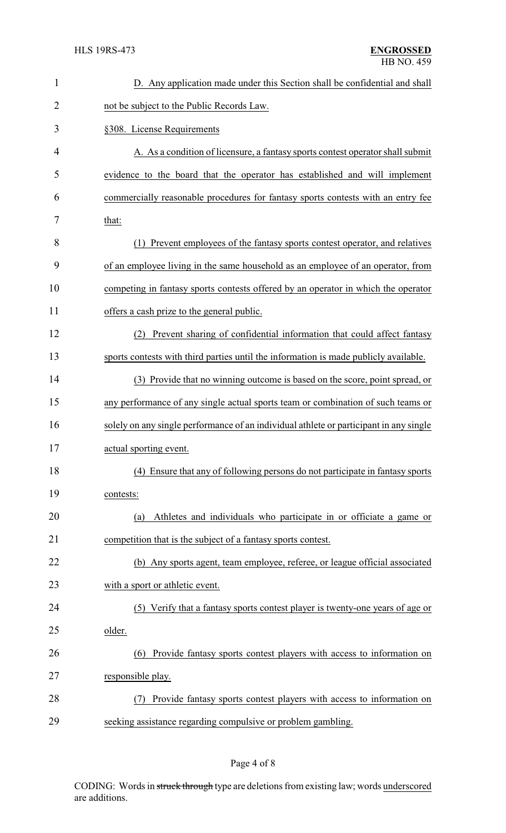| $\mathbf{1}$   | D. Any application made under this Section shall be confidential and shall             |  |  |
|----------------|----------------------------------------------------------------------------------------|--|--|
| $\overline{2}$ | not be subject to the Public Records Law.                                              |  |  |
| 3              | §308. License Requirements                                                             |  |  |
| 4              | A. As a condition of licensure, a fantasy sports contest operator shall submit         |  |  |
| 5              | evidence to the board that the operator has established and will implement             |  |  |
| 6              | commercially reasonable procedures for fantasy sports contests with an entry fee       |  |  |
| 7              | that:                                                                                  |  |  |
| 8              | (1) Prevent employees of the fantasy sports contest operator, and relatives            |  |  |
| 9              | of an employee living in the same household as an employee of an operator, from        |  |  |
| 10             | competing in fantasy sports contests offered by an operator in which the operator      |  |  |
| 11             | offers a cash prize to the general public.                                             |  |  |
| 12             | Prevent sharing of confidential information that could affect fantasy<br>(2)           |  |  |
| 13             | sports contests with third parties until the information is made publicly available.   |  |  |
| 14             | (3) Provide that no winning outcome is based on the score, point spread, or            |  |  |
| 15             | any performance of any single actual sports team or combination of such teams or       |  |  |
| 16             | solely on any single performance of an individual athlete or participant in any single |  |  |
| 17             | actual sporting event.                                                                 |  |  |
| 18             | (4) Ensure that any of following persons do not participate in fantasy sports          |  |  |
| 19             | contests:                                                                              |  |  |
| 20             | Athletes and individuals who participate in or officiate a game or<br>(a)              |  |  |
| 21             | competition that is the subject of a fantasy sports contest.                           |  |  |
| 22             | (b) Any sports agent, team employee, referee, or league official associated            |  |  |
| 23             | with a sport or athletic event.                                                        |  |  |
| 24             | (5) Verify that a fantasy sports contest player is twenty-one years of age or          |  |  |
| 25             | older.                                                                                 |  |  |
| 26             | Provide fantasy sports contest players with access to information on<br>(6)            |  |  |
| 27             | responsible play.                                                                      |  |  |
| 28             | (7) Provide fantasy sports contest players with access to information on               |  |  |
| 29             | seeking assistance regarding compulsive or problem gambling.                           |  |  |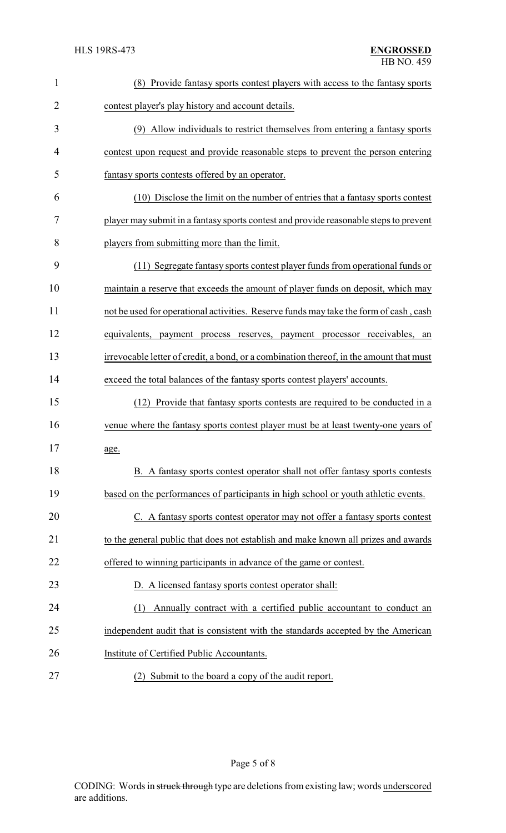| 1              | (8) Provide fantasy sports contest players with access to the fantasy sports            |
|----------------|-----------------------------------------------------------------------------------------|
| $\overline{2}$ | contest player's play history and account details.                                      |
| 3              | (9) Allow individuals to restrict themselves from entering a fantasy sports             |
| 4              | contest upon request and provide reasonable steps to prevent the person entering        |
| 5              | fantasy sports contests offered by an operator.                                         |
| 6              | (10) Disclose the limit on the number of entries that a fantasy sports contest          |
| 7              | player may submit in a fantasy sports contest and provide reasonable steps to prevent   |
| 8              | players from submitting more than the limit.                                            |
| 9              | (11) Segregate fantasy sports contest player funds from operational funds or            |
| 10             | maintain a reserve that exceeds the amount of player funds on deposit, which may        |
| 11             | not be used for operational activities. Reserve funds may take the form of cash, cash   |
| 12             | equivalents, payment process reserves, payment processor receivables,<br>an             |
| 13             | irrevocable letter of credit, a bond, or a combination thereof, in the amount that must |
| 14             | exceed the total balances of the fantasy sports contest players' accounts.              |
| 15             | Provide that fantasy sports contests are required to be conducted in a<br>(12)          |
| 16             | venue where the fantasy sports contest player must be at least twenty-one years of      |
| 17             | age.                                                                                    |
| 18             | B. A fantasy sports contest operator shall not offer fantasy sports contests            |
| 19             | based on the performances of participants in high school or youth athletic events.      |
| 20             | C. A fantasy sports contest operator may not offer a fantasy sports contest             |
| 21             | to the general public that does not establish and make known all prizes and awards      |
| 22             | offered to winning participants in advance of the game or contest.                      |
| 23             | D. A licensed fantasy sports contest operator shall:                                    |
| 24             | Annually contract with a certified public accountant to conduct an<br>(1)               |
| 25             | independent audit that is consistent with the standards accepted by the American        |
| 26             | Institute of Certified Public Accountants.                                              |
| 27             | Submit to the board a copy of the audit report.<br>(2)                                  |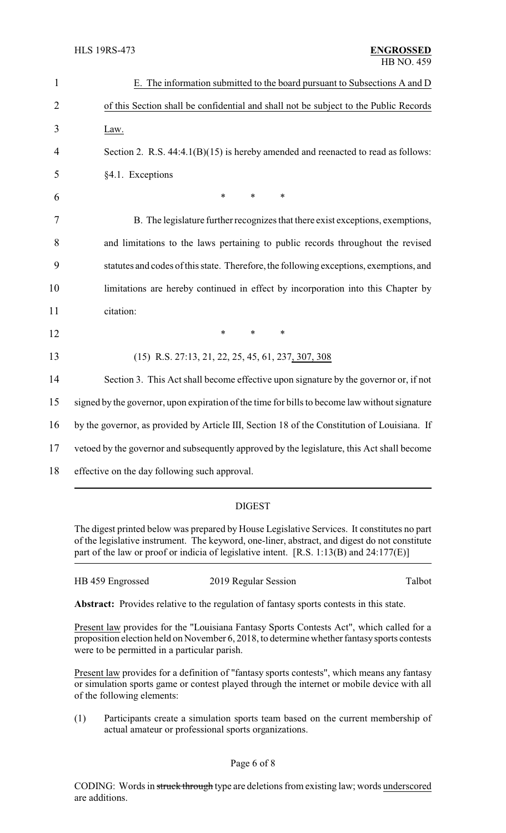| $\mathbf{1}$   | E. The information submitted to the board pursuant to Subsections A and D                     |  |  |
|----------------|-----------------------------------------------------------------------------------------------|--|--|
| $\overline{2}$ | of this Section shall be confidential and shall not be subject to the Public Records          |  |  |
| 3              | Law.                                                                                          |  |  |
| 4              | Section 2. R.S. $44:4.1(B)(15)$ is hereby amended and reenacted to read as follows:           |  |  |
| 5              | §4.1. Exceptions                                                                              |  |  |
| 6              | $\ast$<br>$\ast$<br>$\ast$                                                                    |  |  |
| 7              | B. The legislature further recognizes that there exist exceptions, exemptions,                |  |  |
| 8              | and limitations to the laws pertaining to public records throughout the revised               |  |  |
| 9              | statutes and codes of this state. Therefore, the following exceptions, exemptions, and        |  |  |
| 10             | limitations are hereby continued in effect by incorporation into this Chapter by              |  |  |
| 11             | citation:                                                                                     |  |  |
| 12             | $\ast$<br>$\ast$<br>∗                                                                         |  |  |
| 13             | $(15)$ R.S. 27:13, 21, 22, 25, 45, 61, 237, 307, 308                                          |  |  |
| 14             | Section 3. This Act shall become effective upon signature by the governor or, if not          |  |  |
| 15             | signed by the governor, upon expiration of the time for bills to become law without signature |  |  |
| 16             | by the governor, as provided by Article III, Section 18 of the Constitution of Louisiana. If  |  |  |
| 17             | vetoed by the governor and subsequently approved by the legislature, this Act shall become    |  |  |
| 18             | effective on the day following such approval.                                                 |  |  |
|                |                                                                                               |  |  |

## DIGEST

The digest printed below was prepared by House Legislative Services. It constitutes no part of the legislative instrument. The keyword, one-liner, abstract, and digest do not constitute part of the law or proof or indicia of legislative intent. [R.S. 1:13(B) and 24:177(E)]

| HB 459 Engrossed | 2019 Regular Session | Talbot |
|------------------|----------------------|--------|
|                  |                      |        |

**Abstract:** Provides relative to the regulation of fantasy sports contests in this state.

Present law provides for the "Louisiana Fantasy Sports Contests Act", which called for a proposition election held on November 6, 2018, to determine whether fantasysports contests were to be permitted in a particular parish.

Present law provides for a definition of "fantasy sports contests", which means any fantasy or simulation sports game or contest played through the internet or mobile device with all of the following elements:

(1) Participants create a simulation sports team based on the current membership of actual amateur or professional sports organizations.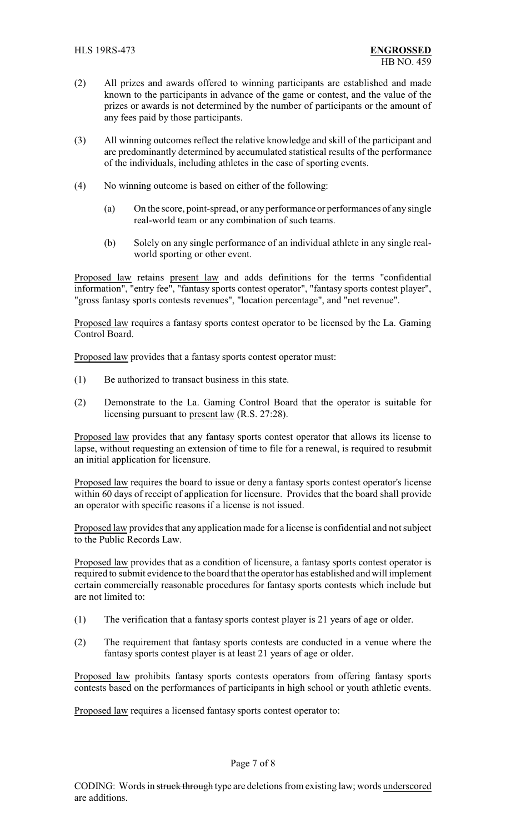- (2) All prizes and awards offered to winning participants are established and made known to the participants in advance of the game or contest, and the value of the prizes or awards is not determined by the number of participants or the amount of any fees paid by those participants.
- (3) All winning outcomes reflect the relative knowledge and skill of the participant and are predominantly determined by accumulated statistical results of the performance of the individuals, including athletes in the case of sporting events.
- (4) No winning outcome is based on either of the following:
	- (a) On the score, point-spread, or any performance or performances of any single real-world team or any combination of such teams.
	- (b) Solely on any single performance of an individual athlete in any single realworld sporting or other event.

Proposed law retains present law and adds definitions for the terms "confidential information", "entry fee", "fantasy sports contest operator", "fantasy sports contest player", "gross fantasy sports contests revenues", "location percentage", and "net revenue".

Proposed law requires a fantasy sports contest operator to be licensed by the La. Gaming Control Board.

Proposed law provides that a fantasy sports contest operator must:

- (1) Be authorized to transact business in this state.
- (2) Demonstrate to the La. Gaming Control Board that the operator is suitable for licensing pursuant to present law (R.S. 27:28).

Proposed law provides that any fantasy sports contest operator that allows its license to lapse, without requesting an extension of time to file for a renewal, is required to resubmit an initial application for licensure.

Proposed law requires the board to issue or deny a fantasy sports contest operator's license within 60 days of receipt of application for licensure. Provides that the board shall provide an operator with specific reasons if a license is not issued.

Proposed law provides that any application made for a license is confidential and not subject to the Public Records Law.

Proposed law provides that as a condition of licensure, a fantasy sports contest operator is required to submit evidence to the board that the operator has established and will implement certain commercially reasonable procedures for fantasy sports contests which include but are not limited to:

- (1) The verification that a fantasy sports contest player is 21 years of age or older.
- (2) The requirement that fantasy sports contests are conducted in a venue where the fantasy sports contest player is at least 21 years of age or older.

Proposed law prohibits fantasy sports contests operators from offering fantasy sports contests based on the performances of participants in high school or youth athletic events.

Proposed law requires a licensed fantasy sports contest operator to: